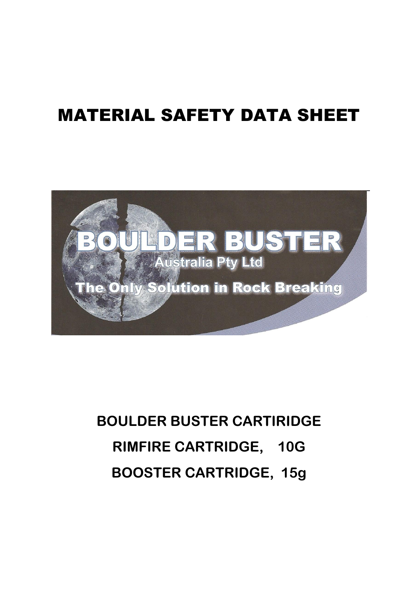## MATERIAL SAFETY DATA SHEET



# **BOULDER BUSTER CARTIRIDGE RIMFIRE CARTRIDGE, 10G BOOSTER CARTRIDGE, 15g**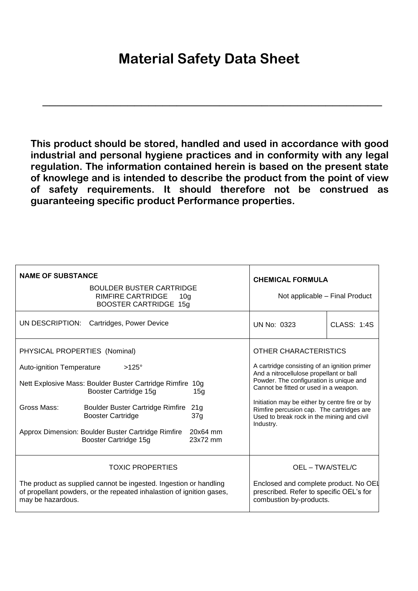### **Material Safety Data Sheet**

**\_\_\_\_\_\_\_\_\_\_\_\_\_\_\_\_\_\_\_\_\_\_\_\_\_\_\_\_\_\_\_\_\_\_\_\_\_\_\_\_\_\_\_\_\_\_\_\_**

**This product should be stored, handled and used in accordance with good industrial and personal hygiene practices and in conformity with any legal regulation. The information contained herein is based on the present state of knowlege and is intended to describe the product from the point of view of safety requirements. It should therefore not be construed as guaranteeing specific product Performance properties.**

| <b>NAME OF SUBSTANCE</b><br><b>BOULDER BUSTER CARTRIDGE</b><br><b>RIMFIRE CARTRIDGE</b><br>10 <sub>q</sub><br><b>BOOSTER CARTRIDGE 15g</b>                                                                                                                                                                                                                                                | <b>CHEMICAL FORMULA</b><br>Not applicable - Final Product                                                                                                                                                                                                                                                                                                     |
|-------------------------------------------------------------------------------------------------------------------------------------------------------------------------------------------------------------------------------------------------------------------------------------------------------------------------------------------------------------------------------------------|---------------------------------------------------------------------------------------------------------------------------------------------------------------------------------------------------------------------------------------------------------------------------------------------------------------------------------------------------------------|
| UN DESCRIPTION:                                                                                                                                                                                                                                                                                                                                                                           | <b>CLASS: 1:4S</b>                                                                                                                                                                                                                                                                                                                                            |
| Cartridges, Power Device                                                                                                                                                                                                                                                                                                                                                                  | <b>UN No: 0323</b>                                                                                                                                                                                                                                                                                                                                            |
| PHYSICAL PROPERTIES (Nominal)<br><b>Auto-ignition Temperature</b><br>$>125^\circ$<br>Nett Explosive Mass: Boulder Buster Cartridge Rimfire 10g<br>Booster Cartridge 15g<br>15g<br>Gross Mass:<br><b>Boulder Buster Cartridge Rimfire</b><br>21g<br><b>Booster Cartridge</b><br>37g<br>Approx Dimension: Boulder Buster Cartridge Rimfire<br>20x64 mm<br>Booster Cartridge 15g<br>23x72 mm | OTHER CHARACTERISTICS<br>A cartridge consisting of an ignition primer<br>And a nitrocellulose propellant or ball<br>Powder. The configuration is unique and<br>Cannot be fitted or used in a weapon.<br>Initiation may be either by centre fire or by<br>Rimfire percusion cap. The cartridges are<br>Used to break rock in the mining and civil<br>Industry. |
| <b>TOXIC PROPERTIES</b>                                                                                                                                                                                                                                                                                                                                                                   | OEL - TWA/STEL/C                                                                                                                                                                                                                                                                                                                                              |
| The product as supplied cannot be ingested. Ingestion or handling                                                                                                                                                                                                                                                                                                                         | Enclosed and complete product. No OEL                                                                                                                                                                                                                                                                                                                         |
| of propellant powders, or the repeated inhalastion of ignition gases,                                                                                                                                                                                                                                                                                                                     | prescribed. Refer to specific OEL's for                                                                                                                                                                                                                                                                                                                       |
| may be hazardous.                                                                                                                                                                                                                                                                                                                                                                         | combustion by-products.                                                                                                                                                                                                                                                                                                                                       |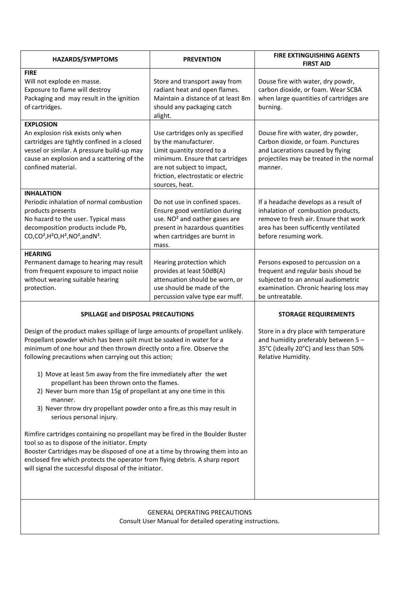| <b>HAZARDS/SYMPTOMS</b>                                                                                                                                                                                                                                                                                                                                                                                                                                                                                                                                                                                                                                                                                                                                                                                                                                                                                                                                                                           | <b>PREVENTION</b>                                                                                                                                                                                                | <b>FIRE EXTINGUISHING AGENTS</b><br><b>FIRST AID</b>                                                                                                                                  |  |
|---------------------------------------------------------------------------------------------------------------------------------------------------------------------------------------------------------------------------------------------------------------------------------------------------------------------------------------------------------------------------------------------------------------------------------------------------------------------------------------------------------------------------------------------------------------------------------------------------------------------------------------------------------------------------------------------------------------------------------------------------------------------------------------------------------------------------------------------------------------------------------------------------------------------------------------------------------------------------------------------------|------------------------------------------------------------------------------------------------------------------------------------------------------------------------------------------------------------------|---------------------------------------------------------------------------------------------------------------------------------------------------------------------------------------|--|
| <b>FIRE</b><br>Will not explode en masse.<br>Exposure to flame will destroy<br>Packaging and may result in the ignition<br>of cartridges.                                                                                                                                                                                                                                                                                                                                                                                                                                                                                                                                                                                                                                                                                                                                                                                                                                                         | Store and transport away from<br>radiant heat and open flames.<br>Maintain a distance of at least 8m<br>should any packaging catch<br>alight.                                                                    | Douse fire with water, dry powdr,<br>carbon dioxide, or foam. Wear SCBA<br>when large quantities of cartridges are<br>burning.                                                        |  |
| <b>EXPLOSION</b><br>An explosion risk exists only when<br>cartridges are tightly confined in a closed<br>vessel or similar. A pressure build-up may<br>cause an explosion and a scattering of the<br>confined material.                                                                                                                                                                                                                                                                                                                                                                                                                                                                                                                                                                                                                                                                                                                                                                           | Use cartridges only as specified<br>by the manufacturer.<br>Limit quantity stored to a<br>minimum. Ensure that cartridges<br>are not subject to impact,<br>friction, electrostatic or electric<br>sources, heat. | Douse fire with water, dry powder,<br>Carbon dioxide, or foam. Punctures<br>and Lacerations caused by flying<br>projectiles may be treated in the normal<br>manner.                   |  |
| <b>INHALATION</b><br>Periodic inhalation of normal combustion<br>products presents<br>No hazard to the user. Typical mass<br>decomposition products include Pb,<br>CO,CO <sup>2</sup> ,H <sup>2</sup> O,H <sup>2</sup> ,NO <sup>2</sup> ,andN <sup>2</sup> .                                                                                                                                                                                                                                                                                                                                                                                                                                                                                                                                                                                                                                                                                                                                      | Do not use in confined spaces.<br>Ensure good ventilation during<br>use. NO <sup>2</sup> and oather gases are<br>present in hazardous quantities<br>when cartridges are burnt in<br>mass.                        | If a headache develops as a result of<br>inhalation of combustion products,<br>remove to fresh air. Ensure that work<br>area has been sufficently ventilated<br>before resuming work. |  |
| <b>HEARING</b><br>Permanent damage to hearing may result<br>from frequent exposure to impact noise<br>without wearing suitable hearing<br>protection.                                                                                                                                                                                                                                                                                                                                                                                                                                                                                                                                                                                                                                                                                                                                                                                                                                             | Hearing protection which<br>provides at least 50dB(A)<br>attenuation should be worn, or<br>use should be made of the<br>percussion valve type ear muff.                                                          | Persons exposed to percussion on a<br>frequent and regular basis shoud be<br>subjected to an annual audiometric<br>examination. Chronic hearing loss may<br>be untreatable.           |  |
| SPILLAGE and DISPOSAL PRECAUTIONS<br>Design of the product makes spillage of large amounts of propellant unlikely.<br>Propellant powder which has been spilt must be soaked in water for a<br>minimum of one hour and then thrown directly onto a fire. Observe the<br>following precautions when carrying out this action;<br>1) Move at least 5m away from the fire immediately after the wet<br>propellant has been thrown onto the flames.<br>2) Never burn more than 15g of propellant at any one time in this<br>manner.<br>3) Never throw dry propellant powder onto a fire, as this may result in<br>serious personal injury.<br>Rimfire cartridges containing no propellant may be fired in the Boulder Buster<br>tool so as to dispose of the initiator. Empty<br>Booster Cartridges may be disposed of one at a time by throwing them into an<br>enclosed fire which protects the operator from flying debris. A sharp report<br>will signal the successful disposal of the initiator. |                                                                                                                                                                                                                  | <b>STORAGE REQUIREMENTS</b><br>Store in a dry place with temperature<br>and humidity preferably between 5-<br>35°C (ideally 20°C) and less than 50%<br>Relative Humidity.             |  |
| <b>GENERAL OPERATING PRECAUTIONS</b><br>Consult User Manual for detailed operating instructions.                                                                                                                                                                                                                                                                                                                                                                                                                                                                                                                                                                                                                                                                                                                                                                                                                                                                                                  |                                                                                                                                                                                                                  |                                                                                                                                                                                       |  |